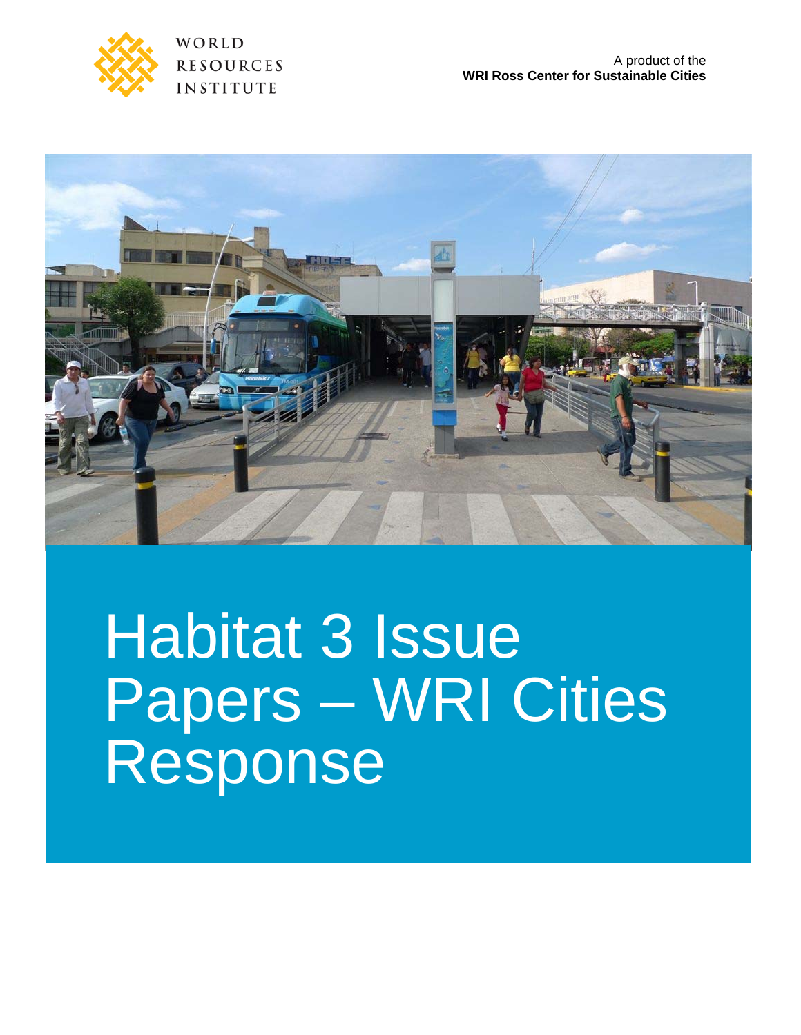

WORLD **RESOURCES INSTITUTE** 



# Habitat 3 Issue Papers – WRI Cities Response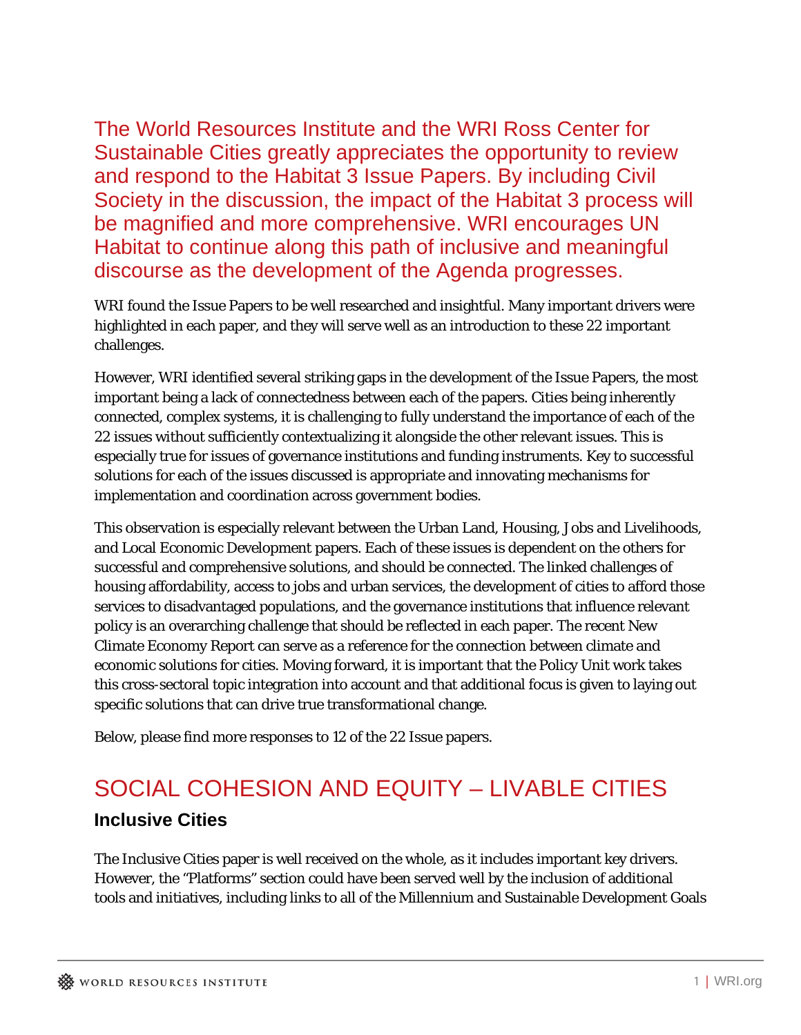The World Resources Institute and the WRI Ross Center for Sustainable Cities greatly appreciates the opportunity to review and respond to the Habitat 3 Issue Papers. By including Civil Society in the discussion, the impact of the Habitat 3 process will be magnified and more comprehensive. WRI encourages UN Habitat to continue along this path of inclusive and meaningful discourse as the development of the Agenda progresses.

WRI found the Issue Papers to be well researched and insightful. Many important drivers were highlighted in each paper, and they will serve well as an introduction to these 22 important challenges.

However, WRI identified several striking gaps in the development of the Issue Papers, the most important being a lack of connectedness between each of the papers. Cities being inherently connected, complex systems, it is challenging to fully understand the importance of each of the 22 issues without sufficiently contextualizing it alongside the other relevant issues. This is especially true for issues of governance institutions and funding instruments. Key to successful solutions for each of the issues discussed is appropriate and innovating mechanisms for implementation and coordination across government bodies.

This observation is especially relevant between the Urban Land, Housing, Jobs and Livelihoods, and Local Economic Development papers. Each of these issues is dependent on the others for successful and comprehensive solutions, and should be connected. The linked challenges of housing affordability, access to jobs and urban services, the development of cities to afford those services to disadvantaged populations, and the governance institutions that influence relevant policy is an overarching challenge that should be reflected in each paper. The recent New Climate Economy Report can serve as a reference for the connection between climate and economic solutions for cities. Moving forward, it is important that the Policy Unit work takes this cross-sectoral topic integration into account and that additional focus is given to laying out specific solutions that can drive true transformational change.

Below, please find more responses to 12 of the 22 Issue papers.

# SOCIAL COHESION AND EQUITY – LIVABLE CITIES **Inclusive Cities**

The Inclusive Cities paper is well received on the whole, as it includes important key drivers. However, the "Platforms" section could have been served well by the inclusion of additional tools and initiatives, including links to all of the Millennium and Sustainable Development Goals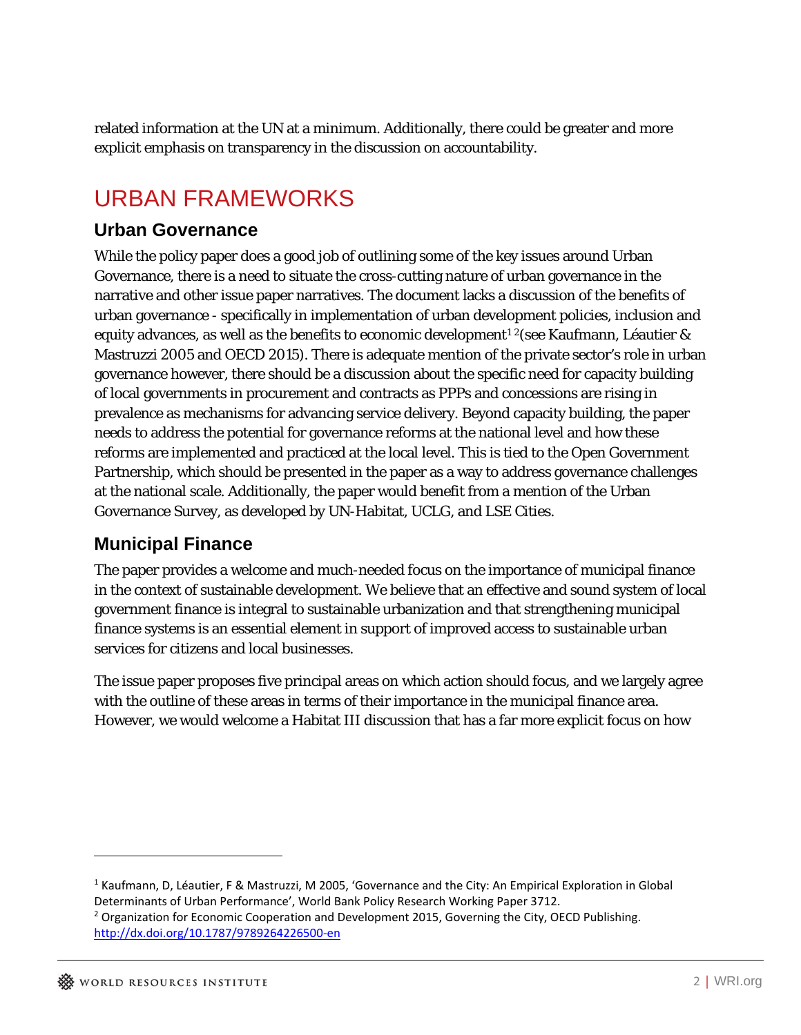related information at the UN at a minimum. Additionally, there could be greater and more explicit emphasis on transparency in the discussion on accountability.

# URBAN FRAMEWORKS

#### **Urban Governance**

While the policy paper does a good job of outlining some of the key issues around Urban Governance, there is a need to situate the cross-cutting nature of urban governance in the narrative and other issue paper narratives. The document lacks a discussion of the benefits of urban governance - specifically in implementation of urban development policies, inclusion and equity advances, as well as the benefits to economic development<sup>12</sup> (see Kaufmann, Léautier & Mastruzzi 2005 and OECD 2015). There is adequate mention of the private sector's role in urban governance however, there should be a discussion about the specific need for capacity building of local governments in procurement and contracts as PPPs and concessions are rising in prevalence as mechanisms for advancing service delivery. Beyond capacity building, the paper needs to address the potential for governance reforms at the national level and how these reforms are implemented and practiced at the local level. This is tied to the Open Government Partnership, which should be presented in the paper as a way to address governance challenges at the national scale. Additionally, the paper would benefit from a mention of the Urban Governance Survey, as developed by UN-Habitat, UCLG, and LSE Cities.

## **Municipal Finance**

The paper provides a welcome and much-needed focus on the importance of municipal finance in the context of sustainable development. We believe that an effective and sound system of local government finance is integral to sustainable urbanization and that strengthening municipal finance systems is an essential element in support of improved access to sustainable urban services for citizens and local businesses.

The issue paper proposes five principal areas on which action should focus, and we largely agree with the outline of these areas in terms of their importance in the municipal finance area. However, we would welcome a Habitat III discussion that has a far more explicit focus on how

 $\overline{a}$ 

<sup>1</sup> Kaufmann, D, Léautier, F & Mastruzzi, M 2005, 'Governance and the City: An Empirical Exploration in Global Determinants of Urban Performance', World Bank Policy Research Working Paper 3712.

<sup>&</sup>lt;sup>2</sup> Organization for Economic Cooperation and Development 2015, Governing the City, OECD Publishing. http://dx.doi.org/10.1787/9789264226500‐en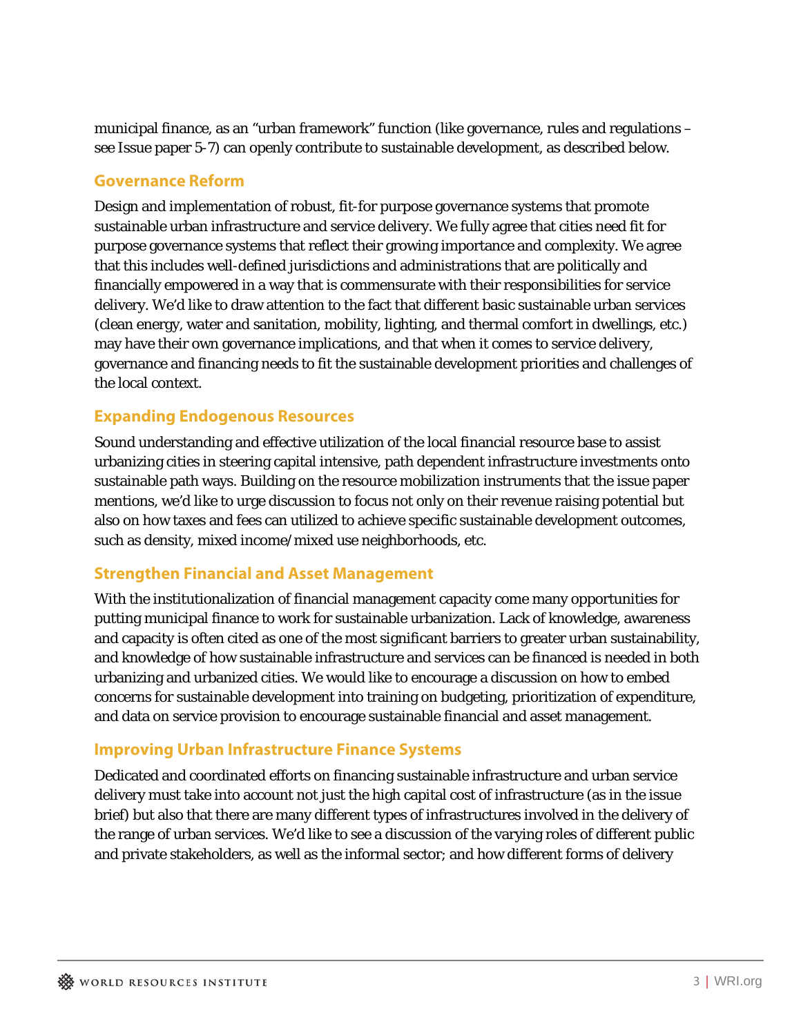municipal finance, as an "urban framework" function (like governance, rules and regulations – see Issue paper 5-7) can openly contribute to sustainable development, as described below.

#### **Governance Reform**

Design and implementation of robust, fit-for purpose governance systems that promote sustainable urban infrastructure and service delivery. We fully agree that cities need fit for purpose governance systems that reflect their growing importance and complexity. We agree that this includes well-defined jurisdictions and administrations that are politically and financially empowered in a way that is commensurate with their responsibilities for service delivery. We'd like to draw attention to the fact that different basic sustainable urban services (clean energy, water and sanitation, mobility, lighting, and thermal comfort in dwellings, etc.) may have their own governance implications, and that when it comes to service delivery, governance and financing needs to fit the sustainable development priorities and challenges of the local context.

#### **Expanding Endogenous Resources**

Sound understanding and effective utilization of the local financial resource base to assist urbanizing cities in steering capital intensive, path dependent infrastructure investments onto sustainable path ways. Building on the resource mobilization instruments that the issue paper mentions, we'd like to urge discussion to focus not only on their revenue raising potential but also on how taxes and fees can utilized to achieve specific sustainable development outcomes, such as density, mixed income/mixed use neighborhoods, etc.

#### **Strengthen Financial and Asset Management**

With the institutionalization of financial management capacity come many opportunities for putting municipal finance to work for sustainable urbanization. Lack of knowledge, awareness and capacity is often cited as one of the most significant barriers to greater urban sustainability, and knowledge of how sustainable infrastructure and services can be financed is needed in both urbanizing and urbanized cities. We would like to encourage a discussion on how to embed concerns for sustainable development into training on budgeting, prioritization of expenditure, and data on service provision to encourage sustainable financial and asset management.

#### **Improving Urban Infrastructure Finance Systems**

Dedicated and coordinated efforts on financing sustainable infrastructure and urban service delivery must take into account not just the high capital cost of infrastructure (as in the issue brief) but also that there are many different types of infrastructures involved in the delivery of the range of urban services. We'd like to see a discussion of the varying roles of different public and private stakeholders, as well as the informal sector; and how different forms of delivery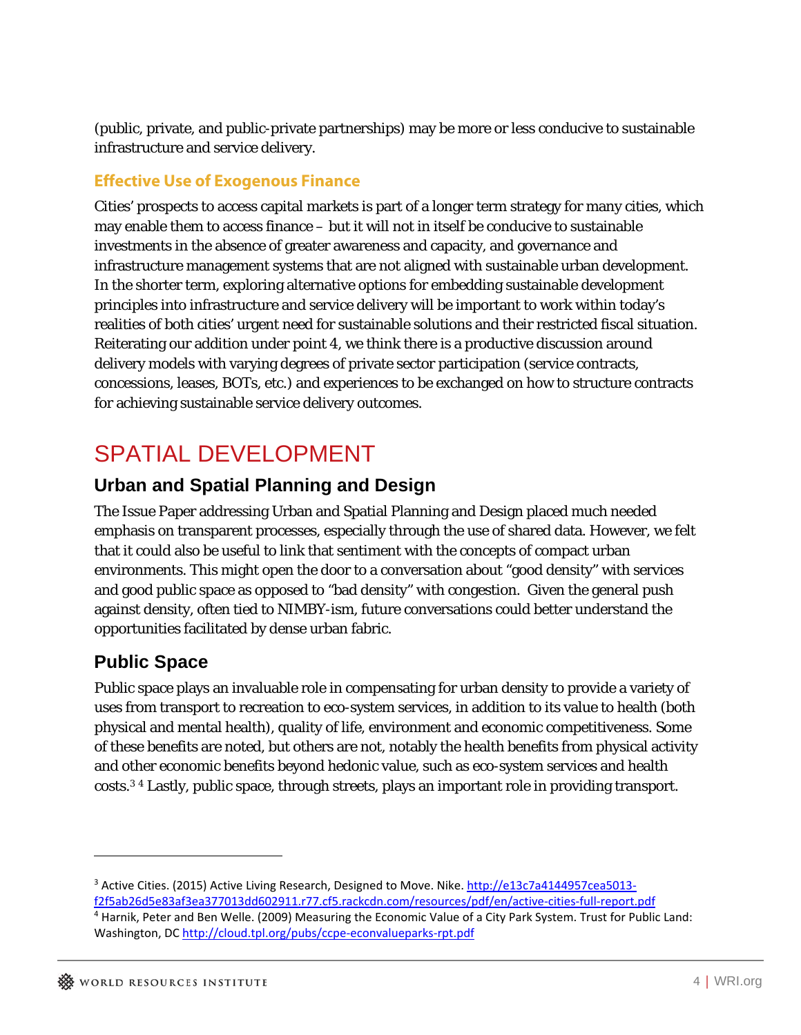(public, private, and public-private partnerships) may be more or less conducive to sustainable infrastructure and service delivery.

#### **Effective Use of Exogenous Finance**

Cities' prospects to access capital markets is part of a longer term strategy for many cities, which may enable them to access finance – but it will not in itself be conducive to sustainable investments in the absence of greater awareness and capacity, and governance and infrastructure management systems that are not aligned with sustainable urban development. In the shorter term, exploring alternative options for embedding sustainable development principles into infrastructure and service delivery will be important to work within today's realities of both cities' urgent need for sustainable solutions and their restricted fiscal situation. Reiterating our addition under point 4, we think there is a productive discussion around delivery models with varying degrees of private sector participation (service contracts, concessions, leases, BOTs, etc.) and experiences to be exchanged on how to structure contracts for achieving sustainable service delivery outcomes.

# SPATIAL DEVELOPMENT

#### **Urban and Spatial Planning and Design**

The Issue Paper addressing Urban and Spatial Planning and Design placed much needed emphasis on transparent processes, especially through the use of shared data. However, we felt that it could also be useful to link that sentiment with the concepts of compact urban environments. This might open the door to a conversation about "good density" with services and good public space as opposed to "bad density" with congestion. Given the general push against density, often tied to NIMBY-ism, future conversations could better understand the opportunities facilitated by dense urban fabric.

## **Public Space**

Public space plays an invaluable role in compensating for urban density to provide a variety of uses from transport to recreation to eco-system services, in addition to its value to health (both physical and mental health), quality of life, environment and economic competitiveness. Some of these benefits are noted, but others are not, notably the health benefits from physical activity and other economic benefits beyond hedonic value, such as eco-system services and health costs.3 4 Lastly, public space, through streets, plays an important role in providing transport.

<u>.</u>

<sup>&</sup>lt;sup>3</sup> Active Cities. (2015) Active Living Research, Designed to Move. Nike. http://e13c7a4144957cea5013f2f5ab26d5e83af3ea377013dd602911.r77.cf5.rackcdn.com/resources/pdf/en/active‐cities‐full‐report.pdf <sup>4</sup> Harnik, Peter and Ben Welle. (2009) Measuring the Economic Value of a City Park System. Trust for Public Land:

Washington, DC http://cloud.tpl.org/pubs/ccpe‐econvalueparks‐rpt.pdf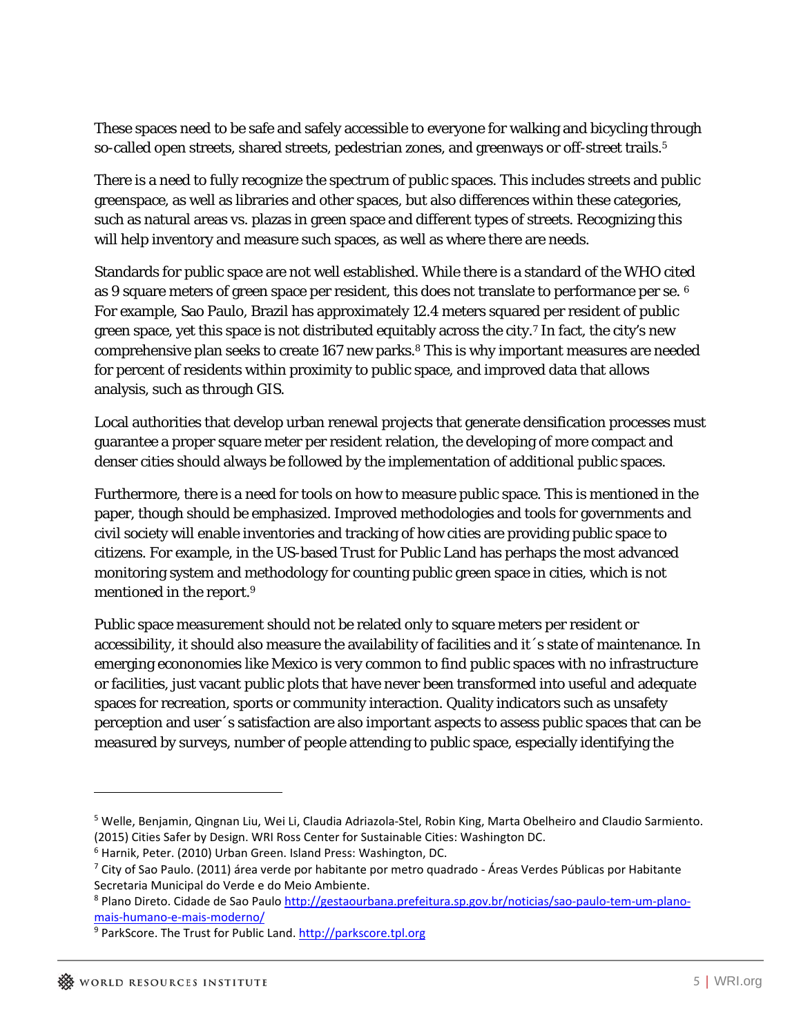These spaces need to be safe and safely accessible to everyone for walking and bicycling through so-called open streets, shared streets, pedestrian zones, and greenways or off-street trails.<sup>5</sup>

There is a need to fully recognize the spectrum of public spaces. This includes streets and public greenspace, as well as libraries and other spaces, but also differences within these categories, such as natural areas vs. plazas in green space and different types of streets. Recognizing this will help inventory and measure such spaces, as well as where there are needs.

Standards for public space are not well established. While there is a standard of the WHO cited as 9 square meters of green space per resident, this does not translate to performance per se. 6 For example, Sao Paulo, Brazil has approximately 12.4 meters squared per resident of public green space, yet this space is not distributed equitably across the city.7 In fact, the city's new comprehensive plan seeks to create 167 new parks.8 This is why important measures are needed for percent of residents within proximity to public space, and improved data that allows analysis, such as through GIS.

Local authorities that develop urban renewal projects that generate densification processes must guarantee a proper square meter per resident relation, the developing of more compact and denser cities should always be followed by the implementation of additional public spaces.

Furthermore, there is a need for tools on how to measure public space. This is mentioned in the paper, though should be emphasized. Improved methodologies and tools for governments and civil society will enable inventories and tracking of how cities are providing public space to citizens. For example, in the US-based Trust for Public Land has perhaps the most advanced monitoring system and methodology for counting public green space in cities, which is not mentioned in the report.9

Public space measurement should not be related only to square meters per resident or accessibility, it should also measure the availability of facilities and it´s state of maintenance. In emerging econonomies like Mexico is very common to find public spaces with no infrastructure or facilities, just vacant public plots that have never been transformed into useful and adequate spaces for recreation, sports or community interaction. Quality indicators such as unsafety perception and user´s satisfaction are also important aspects to assess public spaces that can be measured by surveys, number of people attending to public space, especially identifying the

<u>.</u>

<sup>5</sup> Welle, Benjamin, Qingnan Liu, Wei Li, Claudia Adriazola‐Stel, Robin King, Marta Obelheiro and Claudio Sarmiento. (2015) Cities Safer by Design. WRI Ross Center for Sustainable Cities: Washington DC.

<sup>6</sup> Harnik, Peter. (2010) Urban Green. Island Press: Washington, DC.

<sup>7</sup> City of Sao Paulo. (2011) área verde por habitante por metro quadrado ‐ Áreas Verdes Públicas por Habitante Secretaria Municipal do Verde e do Meio Ambiente.

<sup>8</sup> Plano Direto. Cidade de Sao Paulo http://gestaourbana.prefeitura.sp.gov.br/noticias/sao‐paulo‐tem‐um‐plano‐ mais‐humano‐e‐mais‐moderno/

<sup>9</sup> ParkScore. The Trust for Public Land. http://parkscore.tpl.org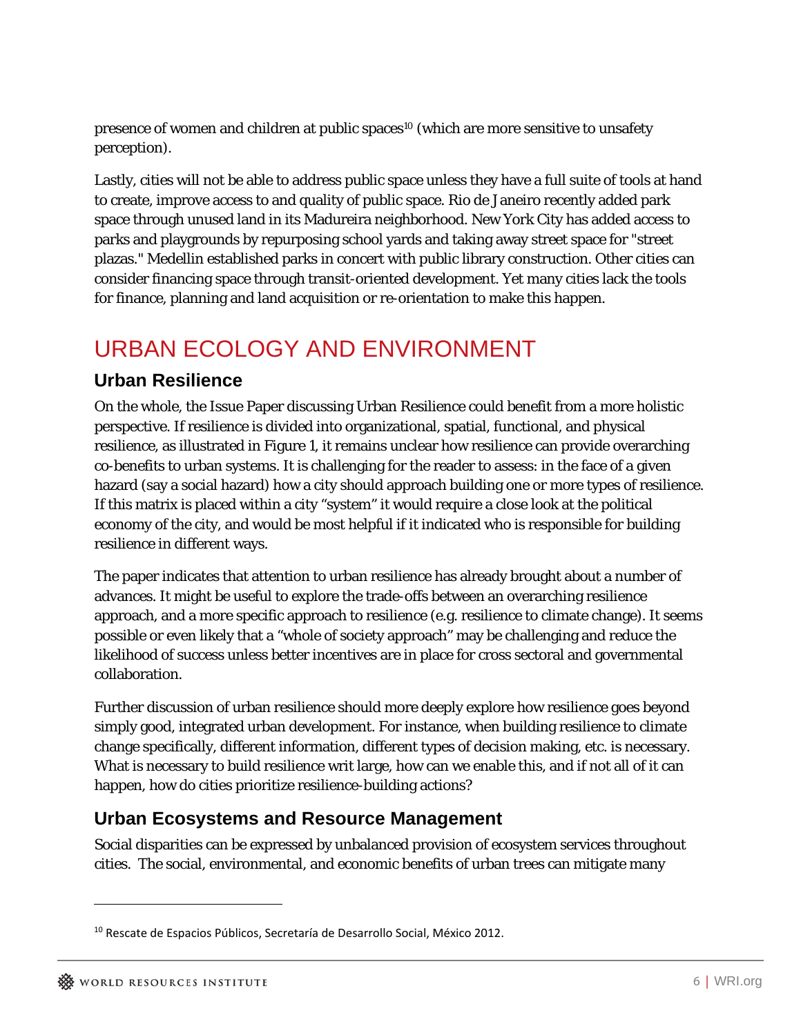presence of women and children at public spaces<sup>10</sup> (which are more sensitive to unsafety perception).

Lastly, cities will not be able to address public space unless they have a full suite of tools at hand to create, improve access to and quality of public space. Rio de Janeiro recently added park space through unused land in its Madureira neighborhood. New York City has added access to parks and playgrounds by repurposing school yards and taking away street space for "street plazas." Medellin established parks in concert with public library construction. Other cities can consider financing space through transit-oriented development. Yet many cities lack the tools for finance, planning and land acquisition or re-orientation to make this happen.

# URBAN ECOLOGY AND ENVIRONMENT

#### **Urban Resilience**

On the whole, the Issue Paper discussing Urban Resilience could benefit from a more holistic perspective. If resilience is divided into organizational, spatial, functional, and physical resilience, as illustrated in Figure 1, it remains unclear how resilience can provide overarching co-benefits to urban systems. It is challenging for the reader to assess: in the face of a given hazard (say a social hazard) how a city should approach building one or more types of resilience. If this matrix is placed within a city "system" it would require a close look at the political economy of the city, and would be most helpful if it indicated who is responsible for building resilience in different ways.

The paper indicates that attention to urban resilience has already brought about a number of advances. It might be useful to explore the trade-offs between an overarching resilience approach, and a more specific approach to resilience (e.g. resilience to climate change). It seems possible or even likely that a "whole of society approach" may be challenging and reduce the likelihood of success unless better incentives are in place for cross sectoral and governmental collaboration.

Further discussion of urban resilience should more deeply explore how resilience goes beyond simply good, integrated urban development. For instance, when building resilience to climate change specifically, different information, different types of decision making, etc. is necessary. What is necessary to build resilience writ large, how can we enable this, and if not all of it can happen, how do cities prioritize resilience-building actions?

#### **Urban Ecosystems and Resource Management**

Social disparities can be expressed by unbalanced provision of ecosystem services throughout cities. The social, environmental, and economic benefits of urban trees can mitigate many

 $\overline{a}$ 

<sup>&</sup>lt;sup>10</sup> Rescate de Espacios Públicos, Secretaría de Desarrollo Social, México 2012.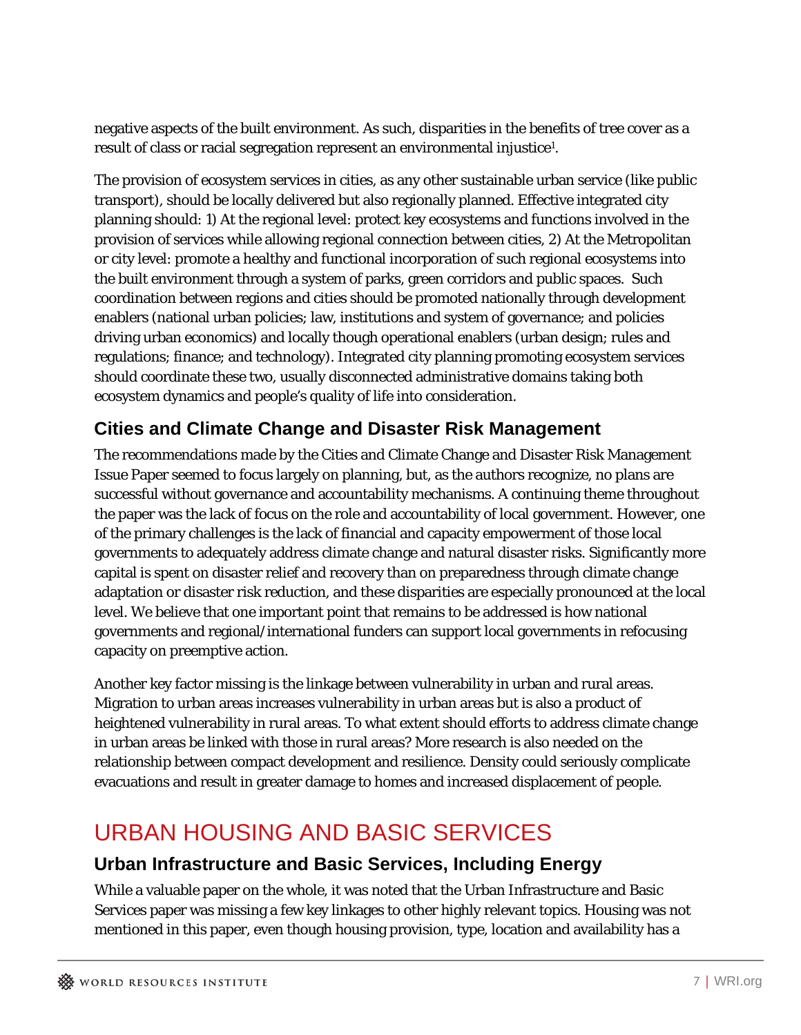negative aspects of the built environment. As such, disparities in the benefits of tree cover as a result of class or racial segregation represent an environmental injustice<sup>1</sup>.

The provision of ecosystem services in cities, as any other sustainable urban service (like public transport), should be locally delivered but also regionally planned. Effective integrated city planning should: 1) At the regional level: protect key ecosystems and functions involved in the provision of services while allowing regional connection between cities, 2) At the Metropolitan or city level: promote a healthy and functional incorporation of such regional ecosystems into the built environment through a system of parks, green corridors and public spaces. Such coordination between regions and cities should be promoted nationally through development enablers (national urban policies; law, institutions and system of governance; and policies driving urban economics) and locally though operational enablers (urban design; rules and regulations; finance; and technology). Integrated city planning promoting ecosystem services should coordinate these two, usually disconnected administrative domains taking both ecosystem dynamics and people's quality of life into consideration.

## **Cities and Climate Change and Disaster Risk Management**

The recommendations made by the Cities and Climate Change and Disaster Risk Management Issue Paper seemed to focus largely on planning, but, as the authors recognize, no plans are successful without governance and accountability mechanisms. A continuing theme throughout the paper was the lack of focus on the role and accountability of local government. However, one of the primary challenges is the lack of financial and capacity empowerment of those local governments to adequately address climate change and natural disaster risks. Significantly more capital is spent on disaster relief and recovery than on preparedness through climate change adaptation or disaster risk reduction, and these disparities are especially pronounced at the local level. We believe that one important point that remains to be addressed is how national governments and regional/international funders can support local governments in refocusing capacity on preemptive action.

Another key factor missing is the linkage between vulnerability in urban and rural areas. Migration to urban areas increases vulnerability in urban areas but is also a product of heightened vulnerability in rural areas. To what extent should efforts to address climate change in urban areas be linked with those in rural areas? More research is also needed on the relationship between compact development and resilience. Density could seriously complicate evacuations and result in greater damage to homes and increased displacement of people.

# URBAN HOUSING AND BASIC SERVICES

## **Urban Infrastructure and Basic Services, Including Energy**

While a valuable paper on the whole, it was noted that the Urban Infrastructure and Basic Services paper was missing a few key linkages to other highly relevant topics. Housing was not mentioned in this paper, even though housing provision, type, location and availability has a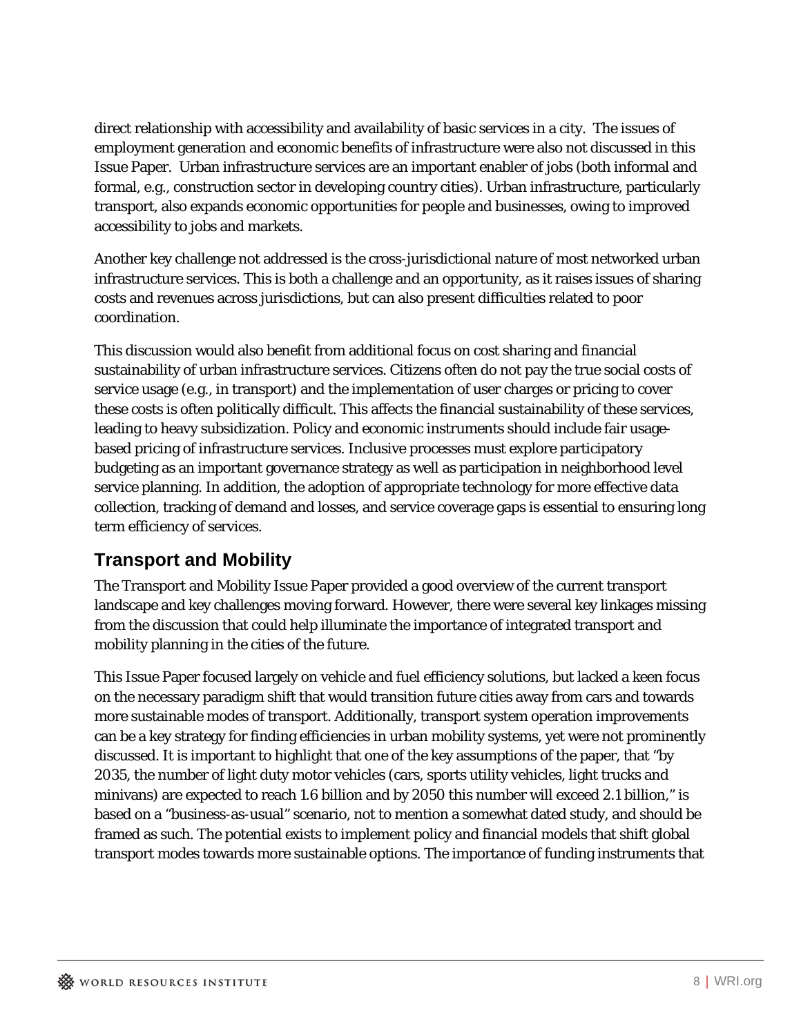direct relationship with accessibility and availability of basic services in a city. The issues of employment generation and economic benefits of infrastructure were also not discussed in this Issue Paper. Urban infrastructure services are an important enabler of jobs (both informal and formal, e.g., construction sector in developing country cities). Urban infrastructure, particularly transport, also expands economic opportunities for people and businesses, owing to improved accessibility to jobs and markets.

Another key challenge not addressed is the cross-jurisdictional nature of most networked urban infrastructure services. This is both a challenge and an opportunity, as it raises issues of sharing costs and revenues across jurisdictions, but can also present difficulties related to poor coordination.

This discussion would also benefit from additional focus on cost sharing and financial sustainability of urban infrastructure services. Citizens often do not pay the true social costs of service usage (e.g., in transport) and the implementation of user charges or pricing to cover these costs is often politically difficult. This affects the financial sustainability of these services, leading to heavy subsidization. Policy and economic instruments should include fair usagebased pricing of infrastructure services. Inclusive processes must explore participatory budgeting as an important governance strategy as well as participation in neighborhood level service planning. In addition, the adoption of appropriate technology for more effective data collection, tracking of demand and losses, and service coverage gaps is essential to ensuring long term efficiency of services.

## **Transport and Mobility**

The Transport and Mobility Issue Paper provided a good overview of the current transport landscape and key challenges moving forward. However, there were several key linkages missing from the discussion that could help illuminate the importance of integrated transport and mobility planning in the cities of the future.

This Issue Paper focused largely on vehicle and fuel efficiency solutions, but lacked a keen focus on the necessary paradigm shift that would transition future cities away from cars and towards more sustainable modes of transport. Additionally, transport system operation improvements can be a key strategy for finding efficiencies in urban mobility systems, yet were not prominently discussed. It is important to highlight that one of the key assumptions of the paper, that "by 2035, the number of light duty motor vehicles (cars, sports utility vehicles, light trucks and minivans) are expected to reach 1.6 billion and by 2050 this number will exceed 2.1 billion," is based on a "business-as-usual" scenario, not to mention a somewhat dated study, and should be framed as such. The potential exists to implement policy and financial models that shift global transport modes towards more sustainable options. The importance of funding instruments that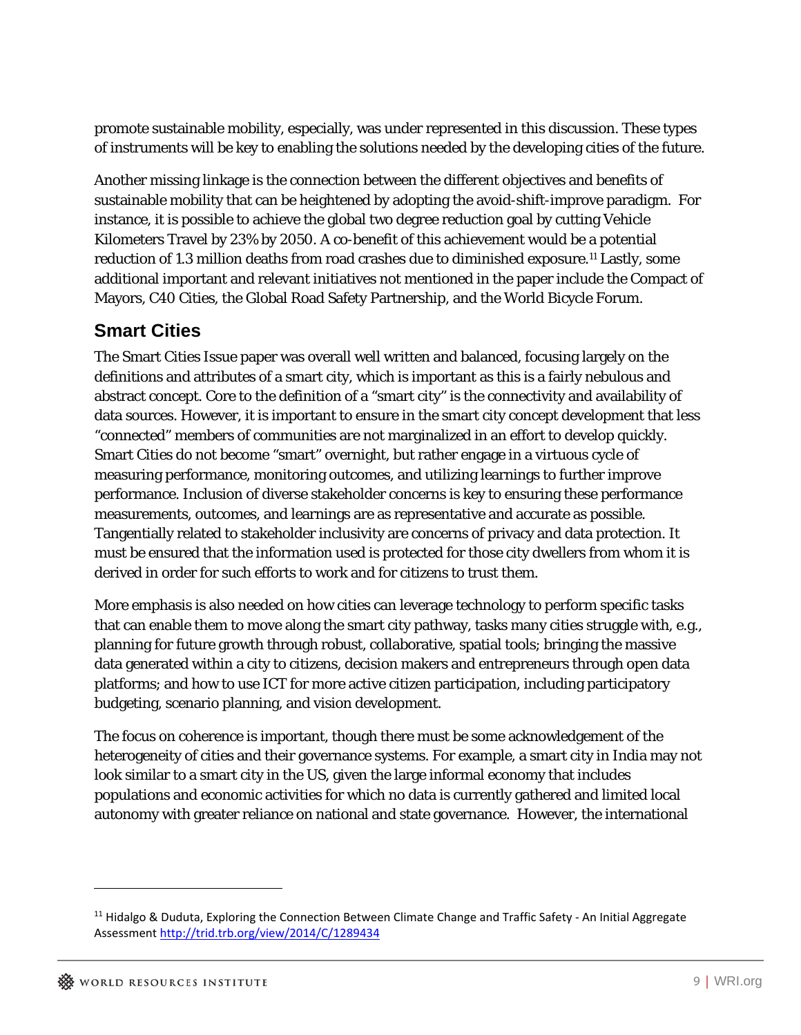promote sustainable mobility, especially, was under represented in this discussion. These types of instruments will be key to enabling the solutions needed by the developing cities of the future.

Another missing linkage is the connection between the different objectives and benefits of sustainable mobility that can be heightened by adopting the avoid-shift-improve paradigm. For instance, it is possible to achieve the global two degree reduction goal by cutting Vehicle Kilometers Travel by 23% by 2050. A co-benefit of this achievement would be a potential reduction of 1.3 million deaths from road crashes due to diminished exposure.11 Lastly, some additional important and relevant initiatives not mentioned in the paper include the Compact of Mayors, C40 Cities, the Global Road Safety Partnership, and the World Bicycle Forum.

### **Smart Cities**

The Smart Cities Issue paper was overall well written and balanced, focusing largely on the definitions and attributes of a smart city, which is important as this is a fairly nebulous and abstract concept. Core to the definition of a "smart city" is the connectivity and availability of data sources. However, it is important to ensure in the smart city concept development that less "connected" members of communities are not marginalized in an effort to develop quickly. Smart Cities do not become "smart" overnight, but rather engage in a virtuous cycle of measuring performance, monitoring outcomes, and utilizing learnings to further improve performance. Inclusion of diverse stakeholder concerns is key to ensuring these performance measurements, outcomes, and learnings are as representative and accurate as possible. Tangentially related to stakeholder inclusivity are concerns of privacy and data protection. It must be ensured that the information used is protected for those city dwellers from whom it is derived in order for such efforts to work and for citizens to trust them.

More emphasis is also needed on how cities can leverage technology to perform specific tasks that can enable them to move along the smart city pathway, tasks many cities struggle with, e.g., planning for future growth through robust, collaborative, spatial tools; bringing the massive data generated within a city to citizens, decision makers and entrepreneurs through open data platforms; and how to use ICT for more active citizen participation, including participatory budgeting, scenario planning, and vision development.

The focus on coherence is important, though there must be some acknowledgement of the heterogeneity of cities and their governance systems. For example, a smart city in India may not look similar to a smart city in the US, given the large informal economy that includes populations and economic activities for which no data is currently gathered and limited local autonomy with greater reliance on national and state governance. However, the international

 $\overline{a}$ 

<sup>11</sup> Hidalgo & Duduta, Exploring the Connection Between Climate Change and Traffic Safety - An Initial Aggregate Assessment http://trid.trb.org/view/2014/C/1289434